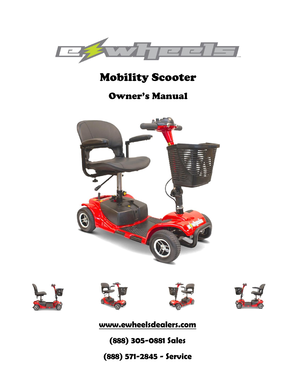

## Mobility Scooter

## Owner's Manual











**[www.ewheelsdealers.com](http://www.ewheelsdealers.com/)**

**(888) 305-0881 Sales**

0 **(888) 571-2845 - Service**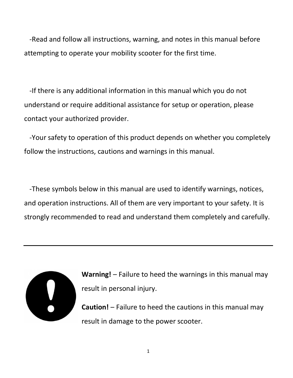-Read and follow all instructions, warning, and notes in this manual before attempting to operate your mobility scooter for the first time.

 -If there is any additional information in this manual which you do not understand or require additional assistance for setup or operation, please contact your authorized provider.

 -Your safety to operation of this product depends on whether you completely follow the instructions, cautions and warnings in this manual.

 -These symbols below in this manual are used to identify warnings, notices, and operation instructions. All of them are very important to your safety. It is strongly recommended to read and understand them completely and carefully.



**Warning!** – Failure to heed the warnings in this manual may result in personal injury.

**Caution!** – Failure to heed the cautions in this manual may result in damage to the power scooter.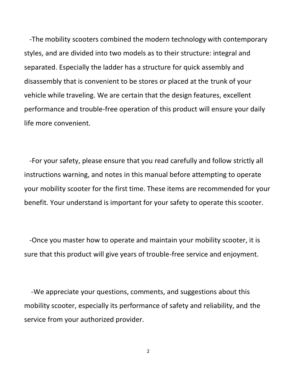-The mobility scooters combined the modern technology with contemporary styles, and are divided into two models as to their structure: integral and separated. Especially the ladder has a structure for quick assembly and disassembly that is convenient to be stores or placed at the trunk of your vehicle while traveling. We are certain that the design features, excellent performance and trouble-free operation of this product will ensure your daily life more convenient.

 -For your safety, please ensure that you read carefully and follow strictly all instructions warning, and notes in this manual before attempting to operate your mobility scooter for the first time. These items are recommended for your benefit. Your understand is important for your safety to operate this scooter.

 -Once you master how to operate and maintain your mobility scooter, it is sure that this product will give years of trouble-free service and enjoyment.

 -We appreciate your questions, comments, and suggestions about this mobility scooter, especially its performance of safety and reliability, and the service from your authorized provider.

2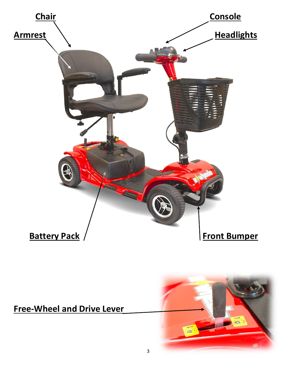

## **Free-Wheel and Drive Lever**

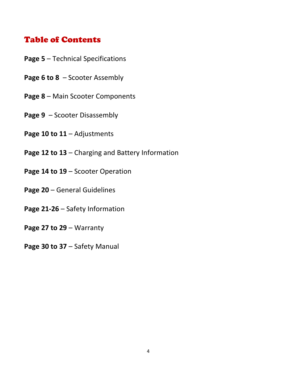#### Table of Contents

- **Page 5** Technical Specifications
- **Page 6 to 8**  Scooter Assembly
- **Page 8** Main Scooter Components
- **Page 9** Scooter Disassembly
- **Page 10 to 11** Adjustments
- **Page 12 to 13** Charging and Battery Information
- **Page 14 to 19** Scooter Operation
- **Page 20** General Guidelines
- **Page 21-26** Safety Information
- **Page 27 to 29** Warranty
- **Page 30 to 37** Safety Manual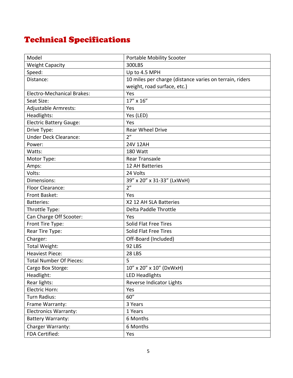## Technical Specifications

| Model                             | Portable Mobility Scooter                               |  |  |
|-----------------------------------|---------------------------------------------------------|--|--|
| <b>Weight Capacity</b>            | 300LBS                                                  |  |  |
| Speed:                            | Up to 4.5 MPH                                           |  |  |
| Distance:                         | 10 miles per charge (distance varies on terrain, riders |  |  |
|                                   | weight, road surface, etc.)                             |  |  |
| <b>Electro-Mechanical Brakes:</b> | Yes                                                     |  |  |
| Seat Size:                        | 17" x 16"                                               |  |  |
| Adjustable Armrests:              | Yes                                                     |  |  |
| Headlights:                       | Yes (LED)                                               |  |  |
| <b>Electric Battery Gauge:</b>    | Yes                                                     |  |  |
| Drive Type:                       | <b>Rear Wheel Drive</b>                                 |  |  |
| <b>Under Deck Clearance:</b>      | 2 <sup>n</sup>                                          |  |  |
| Power:                            | 24V 12AH                                                |  |  |
| Watts:                            | 180 Watt                                                |  |  |
| Motor Type:                       | <b>Rear Transaxle</b>                                   |  |  |
| Amps:                             | 12 AH Batteries                                         |  |  |
| Volts:                            | 24 Volts                                                |  |  |
| Dimensions:                       | 39" x 20" x 31-33" (LxWxH)                              |  |  |
| Floor Clearance:                  | 2 <sup>n</sup>                                          |  |  |
| Front Basket:                     | Yes                                                     |  |  |
| <b>Batteries:</b>                 | X2 12 AH SLA Batteries                                  |  |  |
| Throttle Type:                    | Delta Paddle Throttle                                   |  |  |
| Can Charge Off Scooter:           | Yes                                                     |  |  |
| Front Tire Type:                  | Solid Flat Free Tires                                   |  |  |
| Rear Tire Type:                   | Solid Flat Free Tires                                   |  |  |
| Charger:                          | Off-Board (Included)                                    |  |  |
| Total Weight:                     | <b>92 LBS</b>                                           |  |  |
| <b>Heaviest Piece:</b>            | <b>28 LBS</b>                                           |  |  |
| <b>Total Number Of Pieces:</b>    | 5                                                       |  |  |
| Cargo Box Storge:                 | 10" x 20" x 10" (DxWxH)                                 |  |  |
| Headlight:                        | <b>LED Headlights</b>                                   |  |  |
| Rear lights:                      | Reverse Indicator Lights                                |  |  |
| Electric Horn:                    | Yes                                                     |  |  |
| Turn Radius:                      | 60"                                                     |  |  |
| Frame Warranty:                   | 3 Years                                                 |  |  |
| <b>Electronics Warranty:</b>      | 1 Years                                                 |  |  |
| <b>Battery Warranty:</b>          | 6 Months                                                |  |  |
| Charger Warranty:                 | 6 Months                                                |  |  |
| FDA Certified:                    | Yes                                                     |  |  |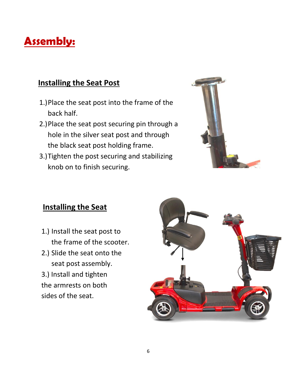## **Assembly:**

#### **Installing the Seat Post**

- 1.)Place the seat post into the frame of the back half.
- 2.)Place the seat post securing pin through a hole in the silver seat post and through the black seat post holding frame.
- 3.)Tighten the post securing and stabilizing knob on to finish securing.



#### **Installing the Seat**

- 1.) Install the seat post to the frame of the scooter.
- 2.) Slide the seat onto the seat post assembly.

3.) Install and tighten the armrests on both sides of the seat.

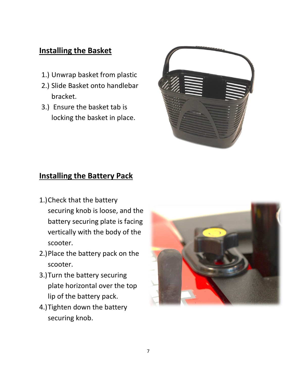#### **Installing the Basket**

- 1.) Unwrap basket from plastic
- 2.) Slide Basket onto handlebar bracket.
- 3.) Ensure the basket tab is locking the basket in place.



#### **Installing the Battery Pack**

- 1.)Check that the battery securing knob is loose, and the battery securing plate is facing vertically with the body of the scooter.
- 2.)Place the battery pack on the scooter.
- 3.)Turn the battery securing plate horizontal over the top lip of the battery pack.
- 4.)Tighten down the battery securing knob.

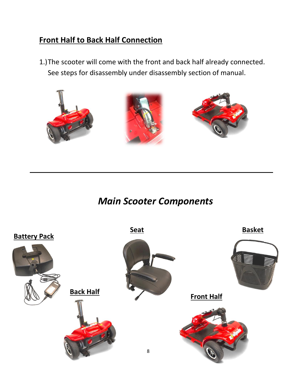#### **Front Half to Back Half Connection**

1.)The scooter will come with the front and back half already connected. See steps for disassembly under disassembly section of manual.



*Main Scooter Components*

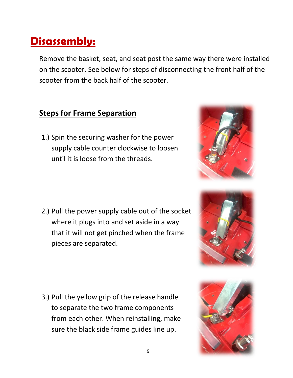## **Disassembly:**

Remove the basket, seat, and seat post the same way there were installed on the scooter. See below for steps of disconnecting the front half of the scooter from the back half of the scooter.

#### **Steps for Frame Separation**

1.) Spin the securing washer for the power supply cable counter clockwise to loosen until it is loose from the threads.

2.) Pull the power supply cable out of the socket where it plugs into and set aside in a way that it will not get pinched when the frame pieces are separated.

3.) Pull the yellow grip of the release handle to separate the two frame components from each other. When reinstalling, make sure the black side frame guides line up.





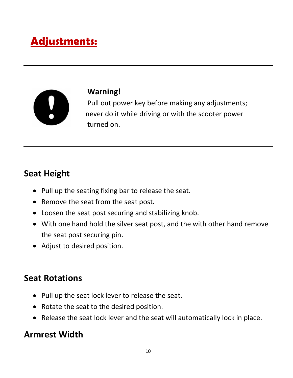# **Adjustments:**



#### **Warning!**

 Pull out power key before making any adjustments; never do it while driving or with the scooter power turned on.

## **Seat Height**

- Pull up the seating fixing bar to release the seat.
- Remove the seat from the seat post.
- Loosen the seat post securing and stabilizing knob.
- With one hand hold the silver seat post, and the with other hand remove the seat post securing pin.
- Adjust to desired position.

## **Seat Rotations**

- Pull up the seat lock lever to release the seat.
- Rotate the seat to the desired position.
- Release the seat lock lever and the seat will automatically lock in place.

## **Armrest Width**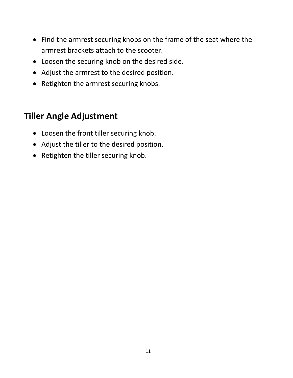- Find the armrest securing knobs on the frame of the seat where the armrest brackets attach to the scooter.
- Loosen the securing knob on the desired side.
- Adjust the armrest to the desired position.
- Retighten the armrest securing knobs.

## **Tiller Angle Adjustment**

- Loosen the front tiller securing knob.
- Adjust the tiller to the desired position.
- Retighten the tiller securing knob.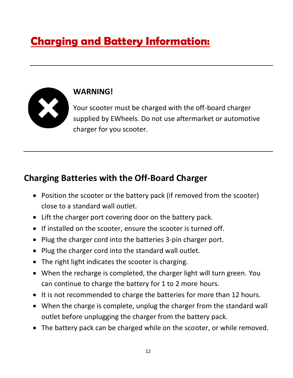# **Charging and Battery Information:**



### **WARNING!**

Your scooter must be charged with the off-board charger supplied by EWheels. Do not use aftermarket or automotive charger for you scooter.

## **Charging Batteries with the Off-Board Charger**

- Position the scooter or the battery pack (if removed from the scooter) close to a standard wall outlet.
- Lift the charger port covering door on the battery pack.
- If installed on the scooter, ensure the scooter is turned off.
- Plug the charger cord into the batteries 3-pin charger port.
- Plug the charger cord into the standard wall outlet.
- The right light indicates the scooter is charging.
- When the recharge is completed, the charger light will turn green. You can continue to charge the battery for 1 to 2 more hours.
- It is not recommended to charge the batteries for more than 12 hours.
- When the charge is complete, unplug the charger from the standard wall outlet before unplugging the charger from the battery pack.
- The battery pack can be charged while on the scooter, or while removed.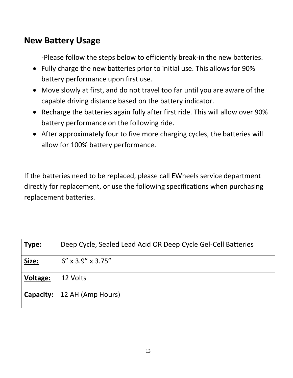### **New Battery Usage**

-Please follow the steps below to efficiently break-in the new batteries.

- Fully charge the new batteries prior to initial use. This allows for 90% battery performance upon first use.
- Move slowly at first, and do not travel too far until you are aware of the capable driving distance based on the battery indicator.
- Recharge the batteries again fully after first ride. This will allow over 90% battery performance on the following ride.
- After approximately four to five more charging cycles, the batteries will allow for 100% battery performance.

If the batteries need to be replaced, please call EWheels service department directly for replacement, or use the following specifications when purchasing replacement batteries.

| Type:           | Deep Cycle, Sealed Lead Acid OR Deep Cycle Gel-Cell Batteries |
|-----------------|---------------------------------------------------------------|
| Size:           | $6''$ x 3.9" x 3.75"                                          |
| <b>Voltage:</b> | 12 Volts                                                      |
|                 | Capacity: 12 AH (Amp Hours)                                   |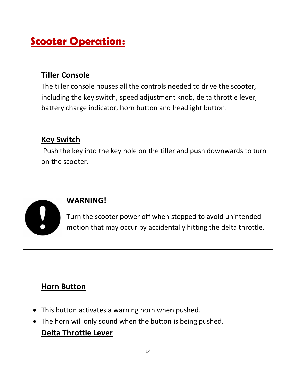## **Scooter Operation:**

### **Tiller Console**

The tiller console houses all the controls needed to drive the scooter, including the key switch, speed adjustment knob, delta throttle lever, battery charge indicator, horn button and headlight button.

#### **Key Switch**

Push the key into the key hole on the tiller and push downwards to turn on the scooter.



#### **WARNING!**

Turn the scooter power off when stopped to avoid unintended motion that may occur by accidentally hitting the delta throttle.

#### **Horn Button**

- This button activates a warning horn when pushed.
- The horn will only sound when the button is being pushed.

#### **Delta Throttle Lever**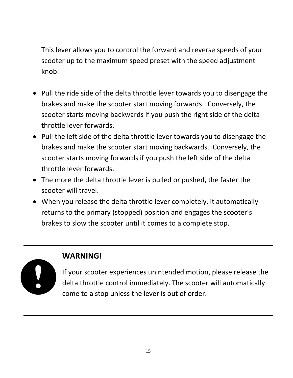This lever allows you to control the forward and reverse speeds of your scooter up to the maximum speed preset with the speed adjustment knob.

- Pull the ride side of the delta throttle lever towards you to disengage the brakes and make the scooter start moving forwards. Conversely, the scooter starts moving backwards if you push the right side of the delta throttle lever forwards.
- Pull the left side of the delta throttle lever towards you to disengage the brakes and make the scooter start moving backwards. Conversely, the scooter starts moving forwards if you push the left side of the delta throttle lever forwards.
- The more the delta throttle lever is pulled or pushed, the faster the scooter will travel.
- When you release the delta throttle lever completely, it automatically returns to the primary (stopped) position and engages the scooter's brakes to slow the scooter until it comes to a complete stop.



#### **WARNING!**

If your scooter experiences unintended motion, please release the delta throttle control immediately. The scooter will automatically come to a stop unless the lever is out of order.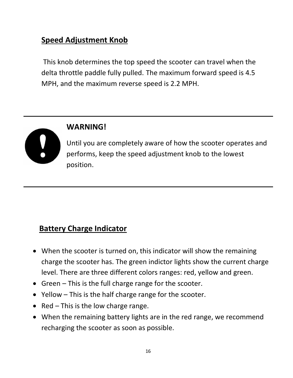### **Speed Adjustment Knob**

This knob determines the top speed the scooter can travel when the delta throttle paddle fully pulled. The maximum forward speed is 4.5 MPH, and the maximum reverse speed is 2.2 MPH.



#### **WARNING!**

Until you are completely aware of how the scooter operates and performs, keep the speed adjustment knob to the lowest position.

#### **Battery Charge Indicator**

- When the scooter is turned on, this indicator will show the remaining charge the scooter has. The green indictor lights show the current charge level. There are three different colors ranges: red, yellow and green.
- Green This is the full charge range for the scooter.
- Yellow This is the half charge range for the scooter.
- Red This is the low charge range.
- When the remaining battery lights are in the red range, we recommend recharging the scooter as soon as possible.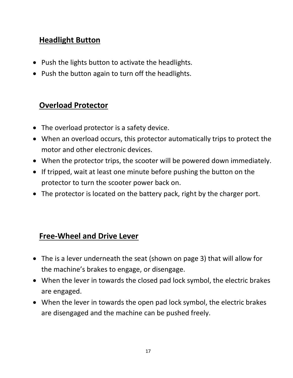#### **Headlight Button**

- Push the lights button to activate the headlights.
- Push the button again to turn off the headlights.

### **Overload Protector**

- The overload protector is a safety device.
- When an overload occurs, this protector automatically trips to protect the motor and other electronic devices.
- When the protector trips, the scooter will be powered down immediately.
- If tripped, wait at least one minute before pushing the button on the protector to turn the scooter power back on.
- The protector is located on the battery pack, right by the charger port.

#### **Free-Wheel and Drive Lever**

- The is a lever underneath the seat (shown on page 3) that will allow for the machine's brakes to engage, or disengage.
- When the lever in towards the closed pad lock symbol, the electric brakes are engaged.
- When the lever in towards the open pad lock symbol, the electric brakes are disengaged and the machine can be pushed freely.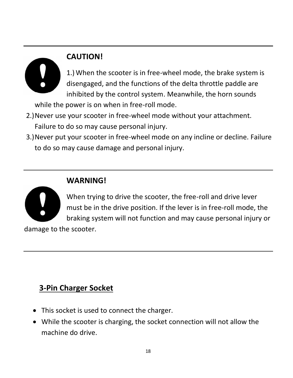## **CAUTION!**

1.) When the scooter is in free-wheel mode, the brake system is disengaged, and the functions of the delta throttle paddle are inhibited by the control system. Meanwhile, the horn sounds

while the power is on when in free-roll mode.

- 2.)Never use your scooter in free-wheel mode without your attachment. Failure to do so may cause personal injury.
- 3.)Never put your scooter in free-wheel mode on any incline or decline. Failure to do so may cause damage and personal injury.

### **WARNING!**



When trying to drive the scooter, the free-roll and drive lever must be in the drive position. If the lever is in free-roll mode, the braking system will not function and may cause personal injury or

damage to the scooter.

## **3-Pin Charger Socket**

- This socket is used to connect the charger.
- While the scooter is charging, the socket connection will not allow the machine do drive.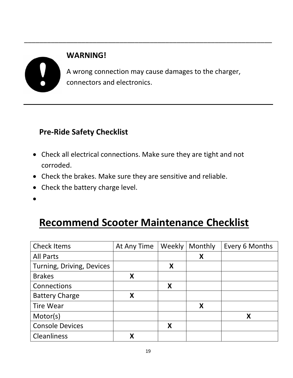# **WARNING!** A wrong connection may cause damages to the charger, connectors and electronics.

\_\_\_\_\_\_\_\_\_\_\_\_\_\_\_\_\_\_\_\_\_\_\_\_\_\_\_\_\_\_\_\_\_\_\_\_\_\_\_\_\_\_\_\_\_\_\_\_\_\_\_\_\_\_\_\_\_\_\_\_\_\_\_\_\_

### **Pre-Ride Safety Checklist**

- Check all electrical connections. Make sure they are tight and not corroded.
- Check the brakes. Make sure they are sensitive and reliable.
- Check the battery charge level.
- •

## **Recommend Scooter Maintenance Checklist**

| <b>Check Items</b>        | At Any Time | Weekly | Monthly | Every 6 Months |
|---------------------------|-------------|--------|---------|----------------|
| <b>All Parts</b>          |             |        | X       |                |
| Turning, Driving, Devices |             | X      |         |                |
| <b>Brakes</b>             | X           |        |         |                |
| Connections               |             | X      |         |                |
| <b>Battery Charge</b>     | Χ           |        |         |                |
| <b>Tire Wear</b>          |             |        | X       |                |
| Motor(s)                  |             |        |         | X              |
| <b>Console Devices</b>    |             | X      |         |                |
| <b>Cleanliness</b>        | Χ           |        |         |                |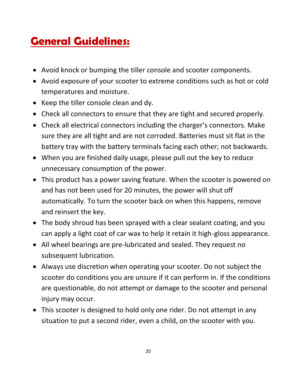## **General Guidelines:**

- Avoid knock or bumping the tiller console and scooter components.
- Avoid exposure of your scooter to extreme conditions such as hot or cold temperatures and moisture.
- Keep the tiller console clean and dy.
- Check all connectors to ensure that they are tight and secured properly.
- Check all electrical connectors including the charger's connectors. Make sure they are all tight and are not corroded. Batteries must sit flat in the battery tray with the battery terminals facing each other; not backwards.
- When you are finished daily usage, please pull out the key to reduce unnecessary consumption of the power.
- This product has a power saving feature. When the scooter is powered on and has not been used for 20 minutes, the power will shut off automatically. To turn the scooter back on when this happens, remove and reinsert the key.
- The body shroud has been sprayed with a clear sealant coating, and you can apply a light coat of car wax to help it retain it high-gloss appearance.
- All wheel bearings are pre-lubricated and sealed. They request no subsequent lubrication.
- Always use discretion when operating your scooter. Do not subject the scooter do conditions you are unsure if it can perform in. If the conditions are questionable, do not attempt or damage to the scooter and personal injury may occur.
- This scooter is designed to hold only one rider. Do not attempt in any situation to put a second rider, even a child, on the scooter with you.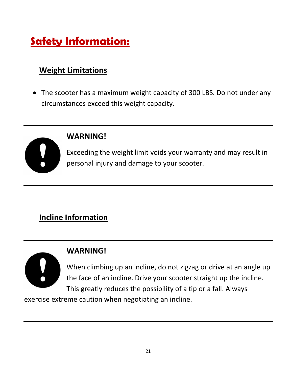# **Safety Information:**

## **Weight Limitations**

• The scooter has a maximum weight capacity of 300 LBS. Do not under any circumstances exceed this weight capacity.



#### **WARNING!**

Exceeding the weight limit voids your warranty and may result in personal injury and damage to your scooter.

## **Incline Information**

### **WARNING!**

When climbing up an incline, do not zigzag or drive at an angle up the face of an incline. Drive your scooter straight up the incline. This greatly reduces the possibility of a tip or a fall. Always

exercise extreme caution when negotiating an incline.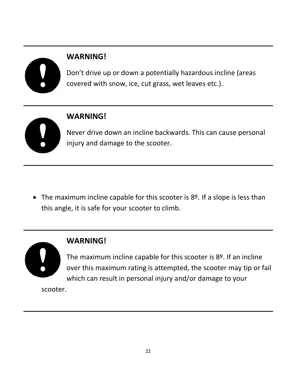## **WARNING!**

Don't drive up or down a potentially hazardous incline (areas covered with snow, ice, cut grass, wet leaves etc.).

## **WARNING!**

Never drive down an incline backwards. This can cause personal injury and damage to the scooter.

• The maximum incline capable for this scooter is 8<sup>o</sup>. If a slope is less than this angle, it is safe for your scooter to climb.



### **WARNING!**

The maximum incline capable for this scooter is 8º. If an incline over this maximum rating is attempted, the scooter may tip or fail which can result in personal injury and/or damage to your

scooter.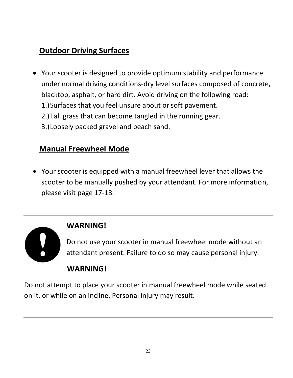## **Outdoor Driving Surfaces**

- Your scooter is designed to provide optimum stability and performance under normal driving conditions-dry level surfaces composed of concrete, blacktop, asphalt, or hard dirt. Avoid driving on the following road: 1.)Surfaces that you feel unsure about or soft pavement.
	- 2.)Tall grass that can become tangled in the running gear.
	- 3.)Loosely packed gravel and beach sand.

### **Manual Freewheel Mode**

• Your scooter is equipped with a manual freewheel lever that allows the scooter to be manually pushed by your attendant. For more information, please visit page 17-18.

### **WARNING!**

Do not use your scooter in manual freewheel mode without an attendant present. Failure to do so may cause personal injury.

### **WARNING!**

Do not attempt to place your scooter in manual freewheel mode while seated on it, or while on an incline. Personal injury may result.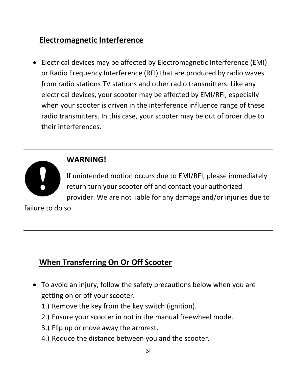### **Electromagnetic Interference**

• Electrical devices may be affected by Electromagnetic Interference (EMI) or Radio Frequency Interference (RFI) that are produced by radio waves from radio stations TV stations and other radio transmitters. Like any electrical devices, your scooter may be affected by EMI/RFI, especially when your scooter is driven in the interference influence range of these radio transmitters. In this case, your scooter may be out of order due to their interferences.



### **WARNING!**

If unintended motion occurs due to EMI/RFI, please immediately return turn your scooter off and contact your authorized provider. We are not liable for any damage and/or injuries due to

failure to do so.

### **When Transferring On Or Off Scooter**

- To avoid an injury, follow the safety precautions below when you are getting on or off your scooter.
	- 1.) Remove the key from the key switch (ignition).
	- 2.) Ensure your scooter in not in the manual freewheel mode.
	- 3.) Flip up or move away the armrest.
	- 4.) Reduce the distance between you and the scooter.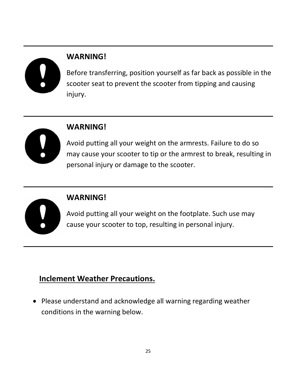## **WARNING!**

Before transferring, position yourself as far back as possible in the scooter seat to prevent the scooter from tipping and causing injury.



#### **WARNING!**

Avoid putting all your weight on the armrests. Failure to do so may cause your scooter to tip or the armrest to break, resulting in personal injury or damage to the scooter.



### **WARNING!**

Avoid putting all your weight on the footplate. Such use may cause your scooter to top, resulting in personal injury.

## **Inclement Weather Precautions.**

• Please understand and acknowledge all warning regarding weather conditions in the warning below.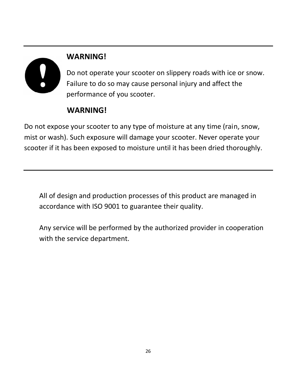# **WARNING!**

Do not operate your scooter on slippery roads with ice or snow. Failure to do so may cause personal injury and affect the performance of you scooter.

## **WARNING!**

Do not expose your scooter to any type of moisture at any time (rain, snow, mist or wash). Such exposure will damage your scooter. Never operate your scooter if it has been exposed to moisture until it has been dried thoroughly.

All of design and production processes of this product are managed in accordance with ISO 9001 to guarantee their quality.

Any service will be performed by the authorized provider in cooperation with the service department.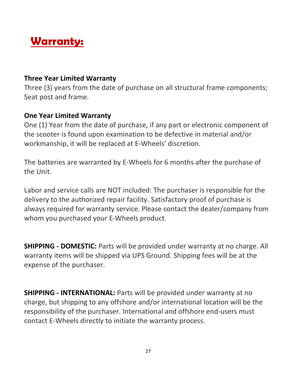## **Warranty:**

#### **Three Year Limited Warranty**

Three (3) years from the date of purchase on all structural frame components; Seat post and frame.

#### **One Year Limited Warranty**

One (1) Year from the date of purchase, if any part or electronic component of the scooter is found upon examination to be defective in material and/or workmanship, it will be replaced at E-Wheels' discretion.

The batteries are warranted by E-Wheels for 6 months after the purchase of the Unit.

Labor and service calls are NOT included: The purchaser is responsible for the delivery to the authorized repair facility. Satisfactory proof of purchase is always required for warranty service. Please contact the dealer/company from whom you purchased your E-Wheels product.

**SHIPPING - DOMESTIC:** Parts will be provided under warranty at no charge. All warranty items will be shipped via UPS Ground. Shipping fees will be at the expense of the purchaser.

**SHIPPING - INTERNATIONAL:** Parts will be provided under warranty at no charge, but shipping to any offshore and/or international location will be the responsibility of the purchaser. International and offshore end-users must contact E-Wheels directly to initiate the warranty process.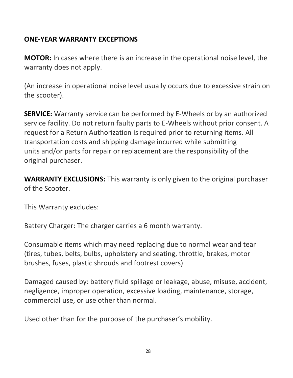#### **ONE-YEAR WARRANTY EXCEPTIONS**

**MOTOR:** In cases where there is an increase in the operational noise level, the warranty does not apply.

(An increase in operational noise level usually occurs due to excessive strain on the scooter).

**SERVICE:** Warranty service can be performed by E-Wheels or by an authorized service facility. Do not return faulty parts to E-Wheels without prior consent. A request for a Return Authorization is required prior to returning items. All transportation costs and shipping damage incurred while submitting units and/or parts for repair or replacement are the responsibility of the original purchaser.

**WARRANTY EXCLUSIONS:** This warranty is only given to the original purchaser of the Scooter.

This Warranty excludes:

Battery Charger: The charger carries a 6 month warranty.

Consumable items which may need replacing due to normal wear and tear (tires, tubes, belts, bulbs, upholstery and seating, throttle, brakes, motor brushes, fuses, plastic shrouds and footrest covers)

Damaged caused by: battery fluid spillage or leakage, abuse, misuse, accident, negligence, improper operation, excessive loading, maintenance, storage, commercial use, or use other than normal.

Used other than for the purpose of the purchaser's mobility.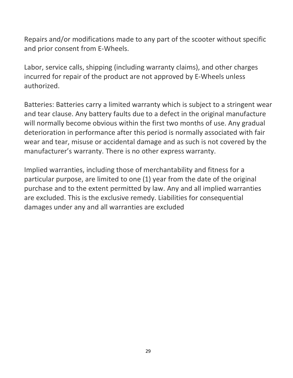Repairs and/or modifications made to any part of the scooter without specific and prior consent from E-Wheels.

Labor, service calls, shipping (including warranty claims), and other charges incurred for repair of the product are not approved by E-Wheels unless authorized.

Batteries: Batteries carry a limited warranty which is subject to a stringent wear and tear clause. Any battery faults due to a defect in the original manufacture will normally become obvious within the first two months of use. Any gradual deterioration in performance after this period is normally associated with fair wear and tear, misuse or accidental damage and as such is not covered by the manufacturer's warranty. There is no other express warranty.

Implied warranties, including those of merchantability and fitness for a particular purpose, are limited to one (1) year from the date of the original purchase and to the extent permitted by law. Any and all implied warranties are excluded. This is the exclusive remedy. Liabilities for consequential damages under any and all warranties are excluded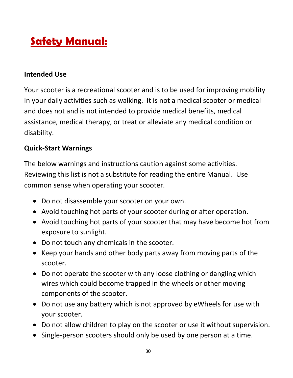# **Safety Manual:**

#### **Intended Use**

Your scooter is a recreational scooter and is to be used for improving mobility in your daily activities such as walking. It is not a medical scooter or medical and does not and is not intended to provide medical benefits, medical assistance, medical therapy, or treat or alleviate any medical condition or disability.

#### **Quick-Start Warnings**

The below warnings and instructions caution against some activities. Reviewing this list is not a substitute for reading the entire Manual. Use common sense when operating your scooter.

- Do not disassemble your scooter on your own.
- Avoid touching hot parts of your scooter during or after operation.
- Avoid touching hot parts of your scooter that may have become hot from exposure to sunlight.
- Do not touch any chemicals in the scooter.
- Keep your hands and other body parts away from moving parts of the scooter.
- Do not operate the scooter with any loose clothing or dangling which wires which could become trapped in the wheels or other moving components of the scooter.
- Do not use any battery which is not approved by eWheels for use with your scooter.
- Do not allow children to play on the scooter or use it without supervision.
- Single-person scooters should only be used by one person at a time.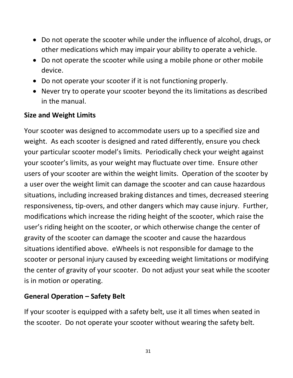- Do not operate the scooter while under the influence of alcohol, drugs, or other medications which may impair your ability to operate a vehicle.
- Do not operate the scooter while using a mobile phone or other mobile device.
- Do not operate your scooter if it is not functioning properly.
- Never try to operate your scooter beyond the its limitations as described in the manual.

#### **Size and Weight Limits**

Your scooter was designed to accommodate users up to a specified size and weight. As each scooter is designed and rated differently, ensure you check your particular scooter model's limits. Periodically check your weight against your scooter's limits, as your weight may fluctuate over time. Ensure other users of your scooter are within the weight limits. Operation of the scooter by a user over the weight limit can damage the scooter and can cause hazardous situations, including increased braking distances and times, decreased steering responsiveness, tip-overs, and other dangers which may cause injury. Further, modifications which increase the riding height of the scooter, which raise the user's riding height on the scooter, or which otherwise change the center of gravity of the scooter can damage the scooter and cause the hazardous situations identified above. eWheels is not responsible for damage to the scooter or personal injury caused by exceeding weight limitations or modifying the center of gravity of your scooter. Do not adjust your seat while the scooter is in motion or operating.

#### **General Operation – Safety Belt**

If your scooter is equipped with a safety belt, use it all times when seated in the scooter. Do not operate your scooter without wearing the safety belt.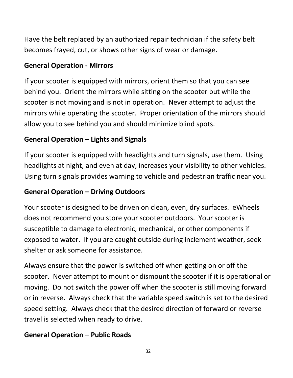Have the belt replaced by an authorized repair technician if the safety belt becomes frayed, cut, or shows other signs of wear or damage.

#### **General Operation - Mirrors**

If your scooter is equipped with mirrors, orient them so that you can see behind you. Orient the mirrors while sitting on the scooter but while the scooter is not moving and is not in operation. Never attempt to adjust the mirrors while operating the scooter. Proper orientation of the mirrors should allow you to see behind you and should minimize blind spots.

#### **General Operation – Lights and Signals**

If your scooter is equipped with headlights and turn signals, use them. Using headlights at night, and even at day, increases your visibility to other vehicles. Using turn signals provides warning to vehicle and pedestrian traffic near you.

#### **General Operation – Driving Outdoors**

Your scooter is designed to be driven on clean, even, dry surfaces. eWheels does not recommend you store your scooter outdoors. Your scooter is susceptible to damage to electronic, mechanical, or other components if exposed to water. If you are caught outside during inclement weather, seek shelter or ask someone for assistance.

Always ensure that the power is switched off when getting on or off the scooter. Never attempt to mount or dismount the scooter if it is operational or moving. Do not switch the power off when the scooter is still moving forward or in reverse. Always check that the variable speed switch is set to the desired speed setting. Always check that the desired direction of forward or reverse travel is selected when ready to drive.

#### **General Operation – Public Roads**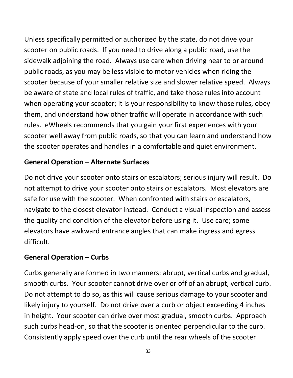Unless specifically permitted or authorized by the state, do not drive your scooter on public roads. If you need to drive along a public road, use the sidewalk adjoining the road. Always use care when driving near to or around public roads, as you may be less visible to motor vehicles when riding the scooter because of your smaller relative size and slower relative speed. Always be aware of state and local rules of traffic, and take those rules into account when operating your scooter; it is your responsibility to know those rules, obey them, and understand how other traffic will operate in accordance with such rules. eWheels recommends that you gain your first experiences with your scooter well away from public roads, so that you can learn and understand how the scooter operates and handles in a comfortable and quiet environment.

#### **General Operation – Alternate Surfaces**

Do not drive your scooter onto stairs or escalators; serious injury will result. Do not attempt to drive your scooter onto stairs or escalators. Most elevators are safe for use with the scooter. When confronted with stairs or escalators, navigate to the closest elevator instead. Conduct a visual inspection and assess the quality and condition of the elevator before using it. Use care; some elevators have awkward entrance angles that can make ingress and egress difficult.

#### **General Operation – Curbs**

Curbs generally are formed in two manners: abrupt, vertical curbs and gradual, smooth curbs. Your scooter cannot drive over or off of an abrupt, vertical curb. Do not attempt to do so, as this will cause serious damage to your scooter and likely injury to yourself. Do not drive over a curb or object exceeding 4 inches in height. Your scooter can drive over most gradual, smooth curbs. Approach such curbs head-on, so that the scooter is oriented perpendicular to the curb. Consistently apply speed over the curb until the rear wheels of the scooter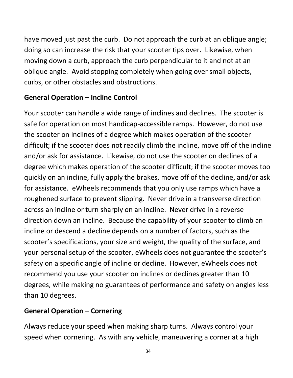have moved just past the curb. Do not approach the curb at an oblique angle; doing so can increase the risk that your scooter tips over. Likewise, when moving down a curb, approach the curb perpendicular to it and not at an oblique angle. Avoid stopping completely when going over small objects, curbs, or other obstacles and obstructions.

#### **General Operation – Incline Control**

Your scooter can handle a wide range of inclines and declines. The scooter is safe for operation on most handicap-accessible ramps. However, do not use the scooter on inclines of a degree which makes operation of the scooter difficult; if the scooter does not readily climb the incline, move off of the incline and/or ask for assistance. Likewise, do not use the scooter on declines of a degree which makes operation of the scooter difficult; if the scooter moves too quickly on an incline, fully apply the brakes, move off of the decline, and/or ask for assistance. eWheels recommends that you only use ramps which have a roughened surface to prevent slipping. Never drive in a transverse direction across an incline or turn sharply on an incline. Never drive in a reverse direction down an incline. Because the capability of your scooter to climb an incline or descend a decline depends on a number of factors, such as the scooter's specifications, your size and weight, the quality of the surface, and your personal setup of the scooter, eWheels does not guarantee the scooter's safety on a specific angle of incline or decline. However, eWheels does not recommend you use your scooter on inclines or declines greater than 10 degrees, while making no guarantees of performance and safety on angles less than 10 degrees.

#### **General Operation – Cornering**

Always reduce your speed when making sharp turns. Always control your speed when cornering. As with any vehicle, maneuvering a corner at a high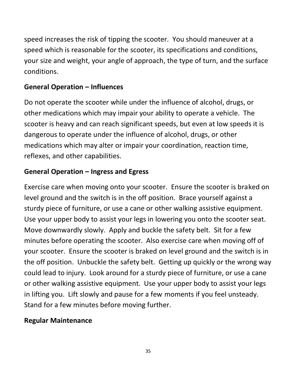speed increases the risk of tipping the scooter. You should maneuver at a speed which is reasonable for the scooter, its specifications and conditions, your size and weight, your angle of approach, the type of turn, and the surface conditions.

#### **General Operation – Influences**

Do not operate the scooter while under the influence of alcohol, drugs, or other medications which may impair your ability to operate a vehicle. The scooter is heavy and can reach significant speeds, but even at low speeds it is dangerous to operate under the influence of alcohol, drugs, or other medications which may alter or impair your coordination, reaction time, reflexes, and other capabilities.

#### **General Operation – Ingress and Egress**

Exercise care when moving onto your scooter. Ensure the scooter is braked on level ground and the switch is in the off position. Brace yourself against a sturdy piece of furniture, or use a cane or other walking assistive equipment. Use your upper body to assist your legs in lowering you onto the scooter seat. Move downwardly slowly. Apply and buckle the safety belt. Sit for a few minutes before operating the scooter. Also exercise care when moving off of your scooter. Ensure the scooter is braked on level ground and the switch is in the off position. Unbuckle the safety belt. Getting up quickly or the wrong way could lead to injury. Look around for a sturdy piece of furniture, or use a cane or other walking assistive equipment. Use your upper body to assist your legs in lifting you. Lift slowly and pause for a few moments if you feel unsteady. Stand for a few minutes before moving further.

#### **Regular Maintenance**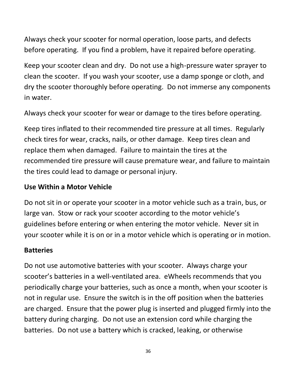Always check your scooter for normal operation, loose parts, and defects before operating. If you find a problem, have it repaired before operating.

Keep your scooter clean and dry. Do not use a high-pressure water sprayer to clean the scooter. If you wash your scooter, use a damp sponge or cloth, and dry the scooter thoroughly before operating. Do not immerse any components in water.

Always check your scooter for wear or damage to the tires before operating.

Keep tires inflated to their recommended tire pressure at all times. Regularly check tires for wear, cracks, nails, or other damage. Keep tires clean and replace them when damaged. Failure to maintain the tires at the recommended tire pressure will cause premature wear, and failure to maintain the tires could lead to damage or personal injury.

#### **Use Within a Motor Vehicle**

Do not sit in or operate your scooter in a motor vehicle such as a train, bus, or large van. Stow or rack your scooter according to the motor vehicle's guidelines before entering or when entering the motor vehicle. Never sit in your scooter while it is on or in a motor vehicle which is operating or in motion.

#### **Batteries**

Do not use automotive batteries with your scooter. Always charge your scooter's batteries in a well-ventilated area. eWheels recommends that you periodically charge your batteries, such as once a month, when your scooter is not in regular use. Ensure the switch is in the off position when the batteries are charged. Ensure that the power plug is inserted and plugged firmly into the battery during charging. Do not use an extension cord while charging the batteries. Do not use a battery which is cracked, leaking, or otherwise